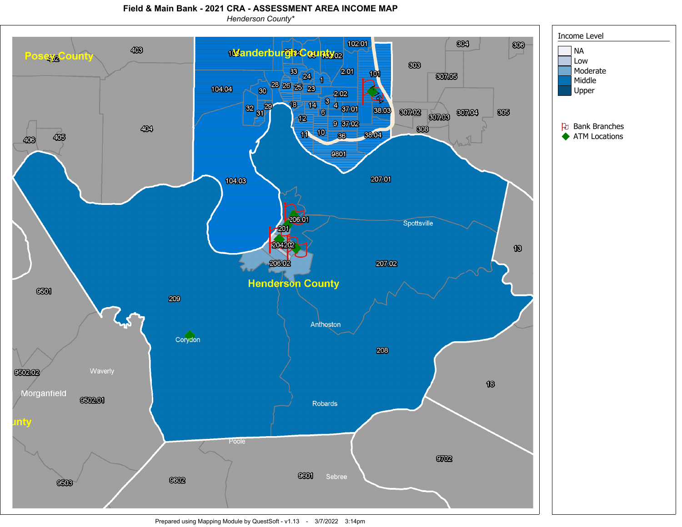## **Field & Main Bank - 2021 CRA - ASSESSMENT AREA INCOME MAP**

*Henderson County\**



Prepared using Mapping Module by QuestSoft - v1.13 - 3/7/2022 3:14pm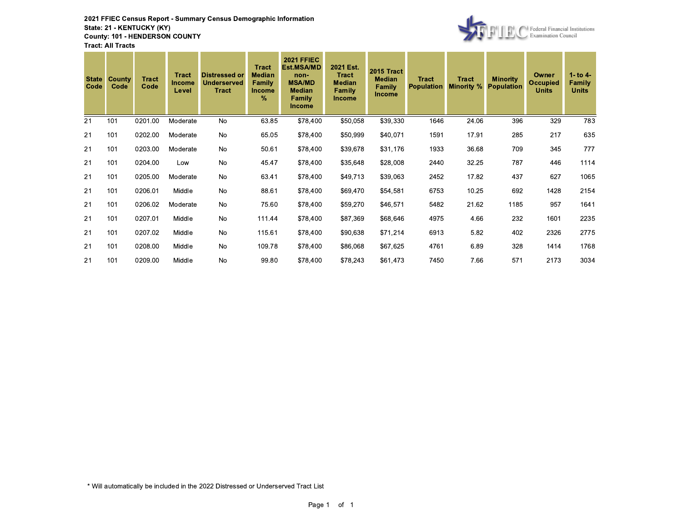

| <b>State</b><br>Code | <b>County</b><br>Code | <b>Tract</b><br>Code | <b>Tract</b><br><b>Income</b><br>Level | <b>Distressed or</b><br><b>Underserved</b><br><b>Tract</b> | <b>Tract</b><br><b>Median</b><br>Family<br><b>Income</b><br>$\%$ | <b>2021 FFIEC</b><br>Est.MSA/MD<br>non-<br><b>MSA/MD</b><br><b>Median</b><br><b>Family</b><br><b>Income</b> | 2021 Est.<br><b>Tract</b><br><b>Median</b><br>Family<br><b>Income</b> | <b>2015 Tract</b><br><b>Median</b><br>Family<br>Income | Tract<br><b>Population</b> | <b>Tract</b><br><b>Minority %</b> | <b>Minority</b><br><b>Population</b> | Owner<br><b>Occupied</b><br><b>Units</b> | 1- to $4-$<br>Family<br><b>Units</b> |
|----------------------|-----------------------|----------------------|----------------------------------------|------------------------------------------------------------|------------------------------------------------------------------|-------------------------------------------------------------------------------------------------------------|-----------------------------------------------------------------------|--------------------------------------------------------|----------------------------|-----------------------------------|--------------------------------------|------------------------------------------|--------------------------------------|
| 21                   | 101                   | 0201.00              | Moderate                               | No                                                         | 63.85                                                            | \$78,400                                                                                                    | \$50,058                                                              | \$39,330                                               | 1646                       | 24.06                             | 396                                  | 329                                      | 783                                  |
| 21                   | 101                   | 0202.00              | Moderate                               | No                                                         | 65.05                                                            | \$78,400                                                                                                    | \$50,999                                                              | \$40,071                                               | 1591                       | 17.91                             | 285                                  | 217                                      | 635                                  |
| 21                   | 101                   | 0203.00              | Moderate                               | <b>No</b>                                                  | 50.61                                                            | \$78,400                                                                                                    | \$39,678                                                              | \$31,176                                               | 1933                       | 36.68                             | 709                                  | 345                                      | 777                                  |
| 21                   | 101                   | 0204.00              | Low                                    | <b>No</b>                                                  | 45.47                                                            | \$78,400                                                                                                    | \$35,648                                                              | \$28,008                                               | 2440                       | 32.25                             | 787                                  | 446                                      | 1114                                 |
| 21                   | 101                   | 0205.00              | Moderate                               | No                                                         | 63.41                                                            | \$78,400                                                                                                    | \$49,713                                                              | \$39,063                                               | 2452                       | 17.82                             | 437                                  | 627                                      | 1065                                 |
| 21                   | 101                   | 0206.01              | Middle                                 | No                                                         | 88.61                                                            | \$78,400                                                                                                    | \$69,470                                                              | \$54,581                                               | 6753                       | 10.25                             | 692                                  | 1428                                     | 2154                                 |
| 21                   | 101                   | 0206.02              | Moderate                               | No                                                         | 75.60                                                            | \$78,400                                                                                                    | \$59,270                                                              | \$46,571                                               | 5482                       | 21.62                             | 1185                                 | 957                                      | 1641                                 |
| 21                   | 101                   | 0207.01              | Middle                                 | No                                                         | 111.44                                                           | \$78,400                                                                                                    | \$87,369                                                              | \$68,646                                               | 4975                       | 4.66                              | 232                                  | 1601                                     | 2235                                 |
| 21                   | 101                   | 0207.02              | Middle                                 | <b>No</b>                                                  | 115.61                                                           | \$78,400                                                                                                    | \$90,638                                                              | \$71,214                                               | 6913                       | 5.82                              | 402                                  | 2326                                     | 2775                                 |
| 21                   | 101                   | 0208.00              | Middle                                 | <b>No</b>                                                  | 109.78                                                           | \$78,400                                                                                                    | \$86,068                                                              | \$67,625                                               | 4761                       | 6.89                              | 328                                  | 1414                                     | 1768                                 |
| 21                   | 101                   | 0209.00              | Middle                                 | No                                                         | 99.80                                                            | \$78,400                                                                                                    | \$78,243                                                              | \$61,473                                               | 7450                       | 7.66                              | 571                                  | 2173                                     | 3034                                 |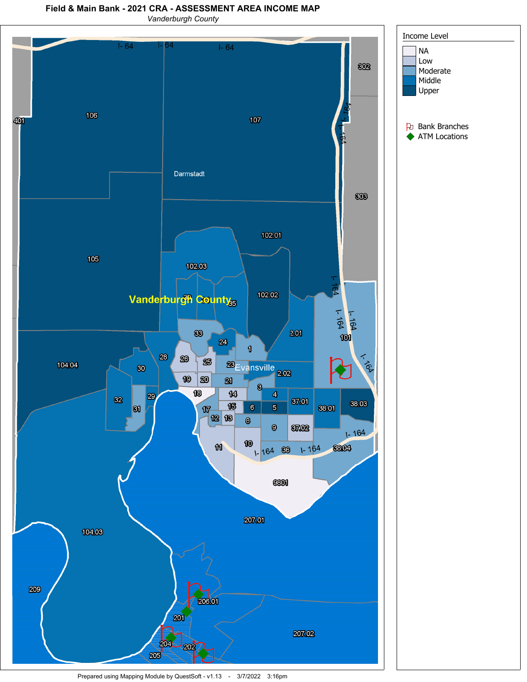## **Field & Main Bank - 2021 CRA - ASSESSMENT AREA INCOME MAP**

*Vanderburgh County*



Prepared using Mapping Module by QuestSoft - v1.13 - 3/7/2022 3:16pm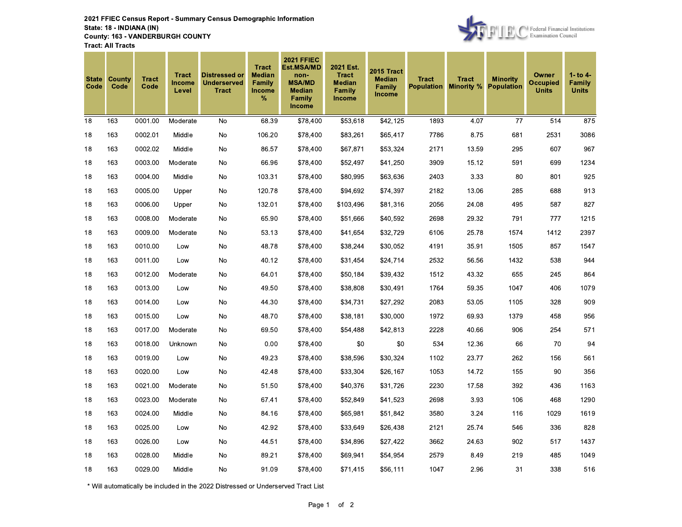2021 FFIEC Census Report - Summary Census Demographic Information State: 18 - INDIANA (IN) **County: 163 - VANDERBURGH COUNTY Tract: All Tracts** 



| <b>State</b><br>Code | County<br>Code | <b>Tract</b><br>Code | <b>Tract</b><br><b>Income</b><br>Level | <b>Distressed or</b><br><b>Underserved</b><br><b>Tract</b> | <b>Tract</b><br><b>Median</b><br>Family<br><b>Income</b><br>% | <b>2021 FFIEC</b><br>Est.MSA/MD<br>non-<br><b>MSA/MD</b><br><b>Median</b><br><b>Family</b><br>Income | 2021 Est.<br><b>Tract</b><br><b>Median</b><br>Family<br>Income | 2015 Tract<br><b>Median</b><br>Family<br><b>Income</b> | <b>Tract</b><br><b>Population Minority %</b> | <b>Tract</b> | <b>Minority</b><br><b>Population</b> | Owner<br><b>Occupied</b><br><b>Units</b> | 1- to 4-<br>Family<br><b>Units</b> |
|----------------------|----------------|----------------------|----------------------------------------|------------------------------------------------------------|---------------------------------------------------------------|------------------------------------------------------------------------------------------------------|----------------------------------------------------------------|--------------------------------------------------------|----------------------------------------------|--------------|--------------------------------------|------------------------------------------|------------------------------------|
| 18                   | 163            | 0001.00              | Moderate                               | <b>No</b>                                                  | 68.39                                                         | \$78,400                                                                                             | \$53,618                                                       | \$42,125                                               | 1893                                         | 4.07         | 77                                   | 514                                      | 875                                |
| 18                   | 163            | 0002.01              | Middle                                 | No                                                         | 106.20                                                        | \$78,400                                                                                             | \$83,261                                                       | \$65,417                                               | 7786                                         | 8.75         | 681                                  | 2531                                     | 3086                               |
| 18                   | 163            | 0002.02              | Middle                                 | No                                                         | 86.57                                                         | \$78,400                                                                                             | \$67,871                                                       | \$53,324                                               | 2171                                         | 13.59        | 295                                  | 607                                      | 967                                |
| 18                   | 163            | 0003.00              | Moderate                               | No                                                         | 66.96                                                         | \$78,400                                                                                             | \$52,497                                                       | \$41,250                                               | 3909                                         | 15.12        | 591                                  | 699                                      | 1234                               |
| 18                   | 163            | 0004.00              | Middle                                 | No                                                         | 103.31                                                        | \$78,400                                                                                             | \$80,995                                                       | \$63,636                                               | 2403                                         | 3.33         | 80                                   | 801                                      | 925                                |
| 18                   | 163            | 0005.00              | Upper                                  | No                                                         | 120.78                                                        | \$78,400                                                                                             | \$94,692                                                       | \$74,397                                               | 2182                                         | 13.06        | 285                                  | 688                                      | 913                                |
| 18                   | 163            | 0006.00              | Upper                                  | No                                                         | 132.01                                                        | \$78,400                                                                                             | \$103,496                                                      | \$81,316                                               | 2056                                         | 24.08        | 495                                  | 587                                      | 827                                |
| 18                   | 163            | 0008.00              | Moderate                               | No                                                         | 65.90                                                         | \$78,400                                                                                             | \$51,666                                                       | \$40,592                                               | 2698                                         | 29.32        | 791                                  | 777                                      | 1215                               |
| 18                   | 163            | 0009.00              | Moderate                               | No                                                         | 53.13                                                         | \$78,400                                                                                             | \$41,654                                                       | \$32,729                                               | 6106                                         | 25.78        | 1574                                 | 1412                                     | 2397                               |
| 18                   | 163            | 0010.00              | Low                                    | <b>No</b>                                                  | 48.78                                                         | \$78,400                                                                                             | \$38,244                                                       | \$30,052                                               | 4191                                         | 35.91        | 1505                                 | 857                                      | 1547                               |
| 18                   | 163            | 0011.00              | Low                                    | No                                                         | 40.12                                                         | \$78,400                                                                                             | \$31,454                                                       | \$24,714                                               | 2532                                         | 56.56        | 1432                                 | 538                                      | 944                                |
| 18                   | 163            | 0012.00              | Moderate                               | <b>No</b>                                                  | 64.01                                                         | \$78,400                                                                                             | \$50,184                                                       | \$39,432                                               | 1512                                         | 43.32        | 655                                  | 245                                      | 864                                |
| 18                   | 163            | 0013.00              | Low                                    | No                                                         | 49.50                                                         | \$78,400                                                                                             | \$38,808                                                       | \$30,491                                               | 1764                                         | 59.35        | 1047                                 | 406                                      | 1079                               |
| 18                   | 163            | 0014.00              | Low                                    | No                                                         | 44.30                                                         | \$78,400                                                                                             | \$34,731                                                       | \$27,292                                               | 2083                                         | 53.05        | 1105                                 | 328                                      | 909                                |
| 18                   | 163            | 0015.00              | Low                                    | No                                                         | 48.70                                                         | \$78,400                                                                                             | \$38,181                                                       | \$30,000                                               | 1972                                         | 69.93        | 1379                                 | 458                                      | 956                                |
| 18                   | 163            | 0017.00              | Moderate                               | No                                                         | 69.50                                                         | \$78,400                                                                                             | \$54,488                                                       | \$42,813                                               | 2228                                         | 40.66        | 906                                  | 254                                      | 571                                |
| 18                   | 163            | 0018.00              | Unknown                                | No                                                         | 0.00                                                          | \$78,400                                                                                             | \$0                                                            | $\$0$                                                  | 534                                          | 12.36        | 66                                   | 70                                       | 94                                 |
| 18                   | 163            | 0019.00              | Low                                    | No                                                         | 49.23                                                         | \$78,400                                                                                             | \$38,596                                                       | \$30,324                                               | 1102                                         | 23.77        | 262                                  | 156                                      | 561                                |
| 18                   | 163            | 0020.00              | Low                                    | No                                                         | 42.48                                                         | \$78,400                                                                                             | \$33,304                                                       | \$26,167                                               | 1053                                         | 14.72        | 155                                  | 90                                       | 356                                |
| 18                   | 163            | 0021.00              | Moderate                               | No                                                         | 51.50                                                         | \$78,400                                                                                             | \$40,376                                                       | \$31,726                                               | 2230                                         | 17.58        | 392                                  | 436                                      | 1163                               |
| 18                   | 163            | 0023.00              | Moderate                               | No                                                         | 67.41                                                         | \$78,400                                                                                             | \$52,849                                                       | \$41,523                                               | 2698                                         | 3.93         | 106                                  | 468                                      | 1290                               |
| 18                   | 163            | 0024.00              | Middle                                 | No                                                         | 84.16                                                         | \$78,400                                                                                             | \$65,981                                                       | \$51,842                                               | 3580                                         | 3.24         | 116                                  | 1029                                     | 1619                               |
| 18                   | 163            | 0025.00              | Low                                    | No                                                         | 42.92                                                         | \$78,400                                                                                             | \$33,649                                                       | \$26,438                                               | 2121                                         | 25.74        | 546                                  | 336                                      | 828                                |
| 18                   | 163            | 0026.00              | Low                                    | No                                                         | 44.51                                                         | \$78,400                                                                                             | \$34,896                                                       | \$27,422                                               | 3662                                         | 24.63        | 902                                  | 517                                      | 1437                               |
| 18                   | 163            | 0028.00              | Middle                                 | No                                                         | 89.21                                                         | \$78,400                                                                                             | \$69,941                                                       | \$54,954                                               | 2579                                         | 8.49         | 219                                  | 485                                      | 1049                               |
| 18                   | 163            | 0029.00              | Middle                                 | No                                                         | 91.09                                                         | \$78,400                                                                                             | \$71,415                                                       | \$56,111                                               | 1047                                         | 2.96         | 31                                   | 338                                      | 516                                |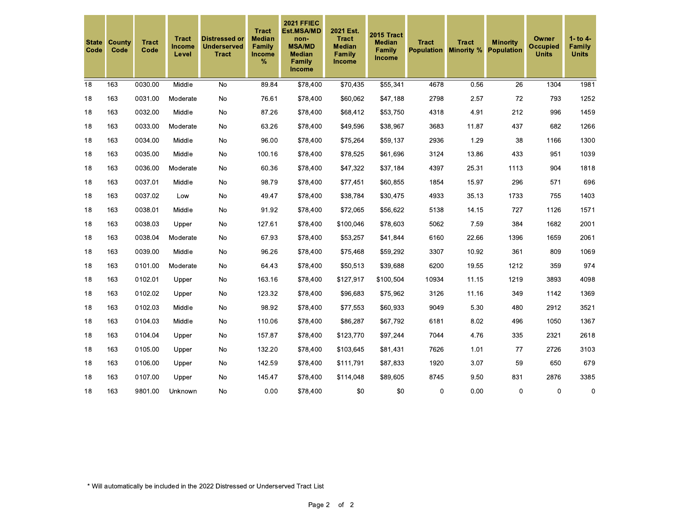| <b>State</b><br>Code | County<br>Code | <b>Tract</b><br>Code | <b>Tract</b><br>Income<br>Level | <b>Distressed or</b><br><b>Underserved</b><br><b>Tract</b> | <b>Tract</b><br><b>Median</b><br>Family<br><b>Income</b><br>% | <b>2021 FFIEC</b><br>Est.MSA/MD<br>non-<br><b>MSA/MD</b><br><b>Median</b><br>Family<br><b>Income</b> | 2021 Est.<br><b>Tract</b><br><b>Median</b><br>Family<br>Income | <b>2015 Tract</b><br><b>Median</b><br>Family<br><b>Income</b> | <b>Tract</b><br><b>Population</b> | <b>Tract</b><br><b>Minority %</b> | <b>Minority</b><br><b>Population</b> | <b>Owner</b><br><b>Occupied</b><br><b>Units</b> | $1 -$ to $4 -$<br>Family<br><b>Units</b> |
|----------------------|----------------|----------------------|---------------------------------|------------------------------------------------------------|---------------------------------------------------------------|------------------------------------------------------------------------------------------------------|----------------------------------------------------------------|---------------------------------------------------------------|-----------------------------------|-----------------------------------|--------------------------------------|-------------------------------------------------|------------------------------------------|
| 18                   | 163            | 0030.00              | Middle                          | <b>No</b>                                                  | 89.84                                                         | \$78,400                                                                                             | \$70,435                                                       | \$55,341                                                      | 4678                              | 0.56                              | 26                                   | 1304                                            | 1981                                     |
| 18                   | 163            | 0031.00              | Moderate                        | No                                                         | 76.61                                                         | \$78,400                                                                                             | \$60,062                                                       | \$47,188                                                      | 2798                              | 2.57                              | 72                                   | 793                                             | 1252                                     |
| 18                   | 163            | 0032.00              | Middle                          | No                                                         | 87.26                                                         | \$78,400                                                                                             | \$68,412                                                       | \$53,750                                                      | 4318                              | 4.91                              | 212                                  | 996                                             | 1459                                     |
| 18                   | 163            | 0033.00              | Moderate                        | <b>No</b>                                                  | 63.26                                                         | \$78,400                                                                                             | \$49,596                                                       | \$38,967                                                      | 3683                              | 11.87                             | 437                                  | 682                                             | 1266                                     |
| 18                   | 163            | 0034.00              | Middle                          | No                                                         | 96.00                                                         | \$78,400                                                                                             | \$75,264                                                       | \$59,137                                                      | 2936                              | 1.29                              | 38                                   | 1166                                            | 1300                                     |
| 18                   | 163            | 0035.00              | Middle                          | No                                                         | 100.16                                                        | \$78,400                                                                                             | \$78,525                                                       | \$61,696                                                      | 3124                              | 13.86                             | 433                                  | 951                                             | 1039                                     |
| 18                   | 163            | 0036.00              | Moderate                        | No                                                         | 60.36                                                         | \$78,400                                                                                             | \$47,322                                                       | \$37,184                                                      | 4397                              | 25.31                             | 1113                                 | 904                                             | 1818                                     |
| 18                   | 163            | 0037.01              | Middle                          | No                                                         | 98.79                                                         | \$78,400                                                                                             | \$77,451                                                       | \$60,855                                                      | 1854                              | 15.97                             | 296                                  | 571                                             | 696                                      |
| 18                   | 163            | 0037.02              | Low                             | No                                                         | 49.47                                                         | \$78,400                                                                                             | \$38,784                                                       | \$30,475                                                      | 4933                              | 35.13                             | 1733                                 | 755                                             | 1403                                     |
| 18                   | 163            | 0038.01              | Middle                          | No                                                         | 91.92                                                         | \$78,400                                                                                             | \$72,065                                                       | \$56,622                                                      | 5138                              | 14.15                             | 727                                  | 1126                                            | 1571                                     |
| 18                   | 163            | 0038.03              | Upper                           | No                                                         | 127.61                                                        | \$78,400                                                                                             | \$100,046                                                      | \$78,603                                                      | 5062                              | 7.59                              | 384                                  | 1682                                            | 2001                                     |
| 18                   | 163            | 0038.04              | Moderate                        | No                                                         | 67.93                                                         | \$78,400                                                                                             | \$53,257                                                       | \$41,844                                                      | 6160                              | 22.66                             | 1396                                 | 1659                                            | 2061                                     |
| 18                   | 163            | 0039.00              | Middle                          | No                                                         | 96.26                                                         | \$78,400                                                                                             | \$75,468                                                       | \$59,292                                                      | 3307                              | 10.92                             | 361                                  | 809                                             | 1069                                     |
| 18                   | 163            | 0101.00              | Moderate                        | No                                                         | 64.43                                                         | \$78,400                                                                                             | \$50,513                                                       | \$39,688                                                      | 6200                              | 19.55                             | 1212                                 | 359                                             | 974                                      |
| 18                   | 163            | 0102.01              | Upper                           | No                                                         | 163.16                                                        | \$78,400                                                                                             | \$127,917                                                      | \$100,504                                                     | 10934                             | 11.15                             | 1219                                 | 3893                                            | 4098                                     |
| 18                   | 163            | 0102.02              | Upper                           | No                                                         | 123.32                                                        | \$78,400                                                                                             | \$96,683                                                       | \$75,962                                                      | 3126                              | 11.16                             | 349                                  | 1142                                            | 1369                                     |
| 18                   | 163            | 0102.03              | Middle                          | No                                                         | 98.92                                                         | \$78,400                                                                                             | \$77,553                                                       | \$60,933                                                      | 9049                              | 5.30                              | 480                                  | 2912                                            | 3521                                     |
| 18                   | 163            | 0104.03              | Middle                          | No                                                         | 110.06                                                        | \$78,400                                                                                             | \$86,287                                                       | \$67,792                                                      | 6181                              | 8.02                              | 496                                  | 1050                                            | 1367                                     |
| 18                   | 163            | 0104.04              | Upper                           | No                                                         | 157.87                                                        | \$78,400                                                                                             | \$123,770                                                      | \$97,244                                                      | 7044                              | 4.76                              | 335                                  | 2321                                            | 2618                                     |
| 18                   | 163            | 0105.00              | Upper                           | No                                                         | 132.20                                                        | \$78,400                                                                                             | \$103,645                                                      | \$81,431                                                      | 7626                              | 1.01                              | 77                                   | 2726                                            | 3103                                     |
| 18                   | 163            | 0106.00              | Upper                           | No                                                         | 142.59                                                        | \$78,400                                                                                             | \$111,791                                                      | \$87,833                                                      | 1920                              | 3.07                              | 59                                   | 650                                             | 679                                      |
| 18                   | 163            | 0107.00              | Upper                           | No                                                         | 145.47                                                        | \$78,400                                                                                             | \$114,048                                                      | \$89,605                                                      | 8745                              | 9.50                              | 831                                  | 2876                                            | 3385                                     |
| 18                   | 163            | 9801.00              | Unknown                         | No                                                         | 0.00                                                          | \$78,400                                                                                             | \$0                                                            | \$0                                                           | $\pmb{0}$                         | 0.00                              | $\pmb{0}$                            | 0                                               | $\pmb{0}$                                |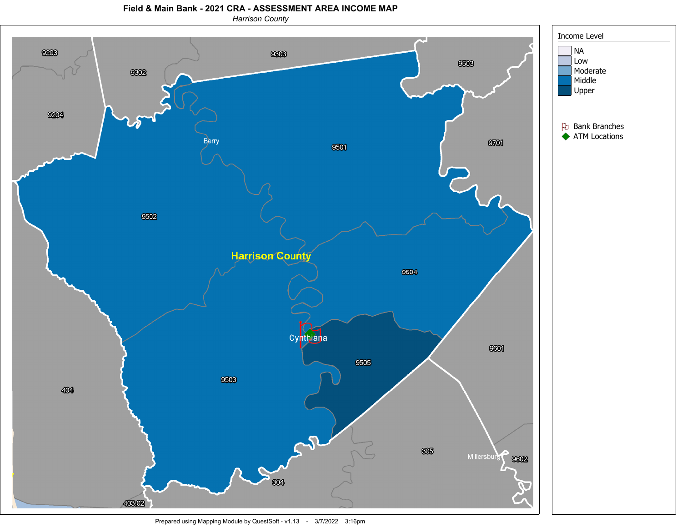**Field & Main Bank - 2021 CRA - ASSESSMENT AREA INCOME MAP**





Prepared using Mapping Module by QuestSoft - v1.13 - 3/7/2022 3:16pm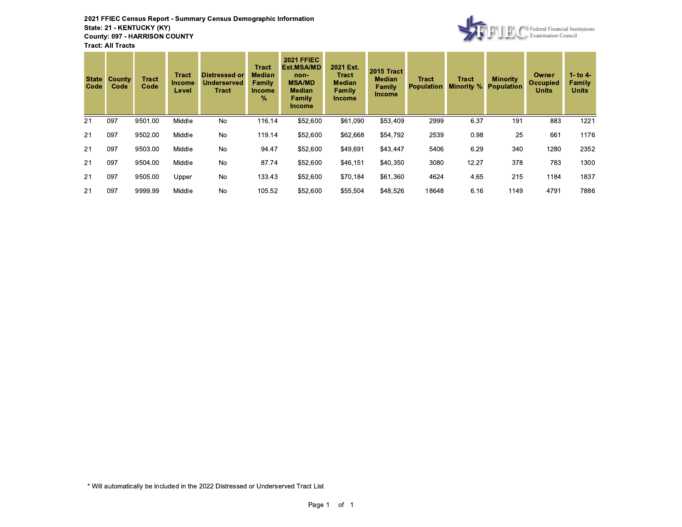2021 FFIEC Census Report - Summary Census Demographic Information State: 21 - KENTUCKY (KY) **County: 097 - HARRISON COUNTY Tract: All Tracts** 



| <b>State</b><br>Code | County<br>Code | <b>Tract</b><br>Code | <b>Tract</b><br><b>Income</b><br>Level | <b>Distressed or</b><br>Underserved<br>Tract | <b>Tract</b><br><b>Median</b><br>Family<br><b>Income</b><br>% | <b>2021 FFIEC</b><br><b>Est.MSA/MD</b><br>non-<br><b>MSA/MD</b><br><b>Median</b><br>Family<br><b>Income</b> | 2021 Est.<br><b>Tract</b><br><b>Median</b><br>Family<br><b>Income</b> | 2015 Tract<br><b>Median</b><br>Family<br><b>Income</b> | <b>Tract</b><br><b>Population</b> | Tract<br><b>Minority %</b> | <b>Minority</b><br><b>Population</b> | <b>Owner</b><br><b>Occupied</b><br><b>Units</b> | 1- to $4-$<br>Family<br><b>Units</b> |
|----------------------|----------------|----------------------|----------------------------------------|----------------------------------------------|---------------------------------------------------------------|-------------------------------------------------------------------------------------------------------------|-----------------------------------------------------------------------|--------------------------------------------------------|-----------------------------------|----------------------------|--------------------------------------|-------------------------------------------------|--------------------------------------|
| 21                   | 097            | 9501.00              | Middle                                 | No                                           | 116.14                                                        | \$52,600                                                                                                    | \$61.090                                                              | \$53,409                                               | 2999                              | 6.37                       | 191                                  | 883                                             | 1221                                 |
| 21                   | 097            | 9502.00              | Middle                                 | No                                           | 119.14                                                        | \$52,600                                                                                                    | \$62,668                                                              | \$54,792                                               | 2539                              | 0.98                       | 25                                   | 661                                             | 1176                                 |
| 21                   | 097            | 9503.00              | Middle                                 | No                                           | 94.47                                                         | \$52,600                                                                                                    | \$49,691                                                              | \$43,447                                               | 5406                              | 6.29                       | 340                                  | 1280                                            | 2352                                 |
| 21                   | 097            | 9504.00              | Middle                                 | No                                           | 87.74                                                         | \$52,600                                                                                                    | \$46,151                                                              | \$40,350                                               | 3080                              | 12.27                      | 378                                  | 783                                             | 1300                                 |
| 21                   | 097            | 9505.00              | Upper                                  | No                                           | 133.43                                                        | \$52,600                                                                                                    | \$70,184                                                              | \$61,360                                               | 4624                              | 4.65                       | 215                                  | 1184                                            | 1837                                 |
| 21                   | 097            | 9999.99              | Middle                                 | No                                           | 105.52                                                        | \$52,600                                                                                                    | \$55,504                                                              | \$48,526                                               | 18648                             | 6.16                       | 1149                                 | 4791                                            | 7886                                 |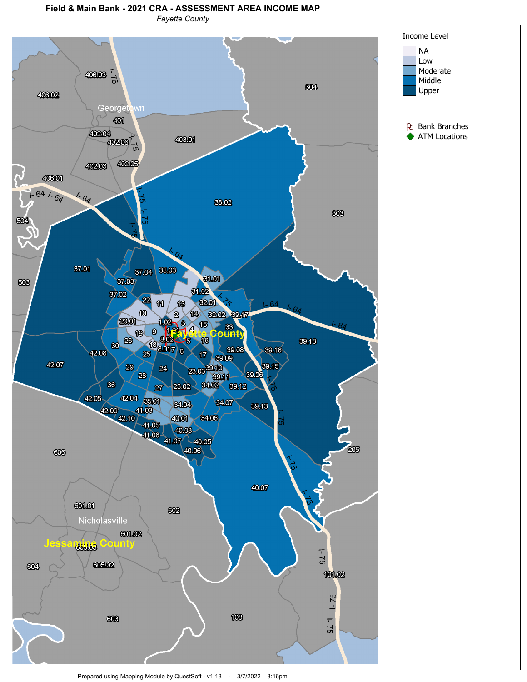## **Field & Main Bank - 2021 CRA - ASSESSMENT AREA INCOME MAP**

*Fayette County*

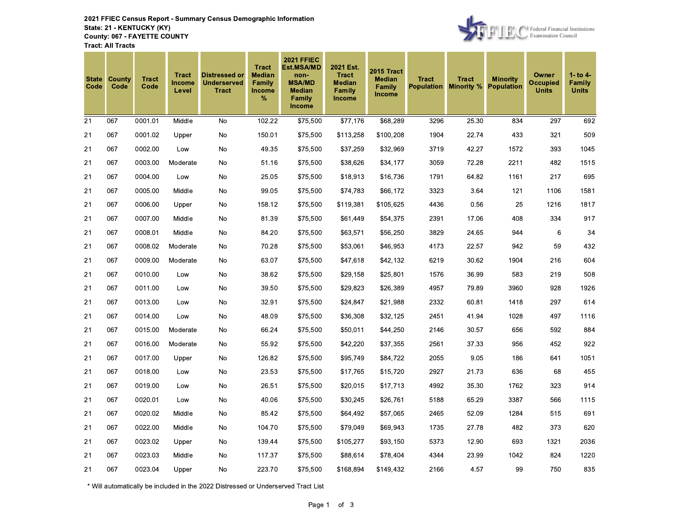

| <b>State</b><br>Code | County<br>Code | <b>Tract</b><br>Code | <b>Tract</b><br><b>Income</b><br>Level | <b>Distressed or</b><br><b>Underserved</b><br><b>Tract</b> | <b>Tract</b><br><b>Median</b><br>Family<br><b>Income</b><br>% | <b>2021 FFIEC</b><br>Est.MSA/MD<br>non-<br><b>MSA/MD</b><br><b>Median</b><br>Family<br><b>Income</b> | 2021 Est.<br><b>Tract</b><br><b>Median</b><br><b>Family</b><br><b>Income</b> | 2015 Tract<br><b>Median</b><br><b>Family</b><br><b>Income</b> | <b>Tract</b><br><b>Population</b> | <b>Tract</b><br><b>Minority %</b> | <b>Minority</b><br><b>Population</b> | Owner<br><b>Occupied</b><br><b>Units</b> | $1 -$ to $4 -$<br>Family<br><b>Units</b> |
|----------------------|----------------|----------------------|----------------------------------------|------------------------------------------------------------|---------------------------------------------------------------|------------------------------------------------------------------------------------------------------|------------------------------------------------------------------------------|---------------------------------------------------------------|-----------------------------------|-----------------------------------|--------------------------------------|------------------------------------------|------------------------------------------|
| 21                   | 067            | 0001.01              | Middle                                 | No                                                         | 102.22                                                        | \$75,500                                                                                             | \$77,176                                                                     | \$68,289                                                      | 3296                              | 25.30                             | 834                                  | 297                                      | 692                                      |
| 21                   | 067            | 0001.02              | Upper                                  | No                                                         | 150.01                                                        | \$75,500                                                                                             | \$113,258                                                                    | \$100,208                                                     | 1904                              | 22.74                             | 433                                  | 321                                      | 509                                      |
| 21                   | 067            | 0002.00              | Low                                    | No                                                         | 49.35                                                         | \$75,500                                                                                             | \$37,259                                                                     | \$32,969                                                      | 3719                              | 42.27                             | 1572                                 | 393                                      | 1045                                     |
| 21                   | 067            | 0003.00              | Moderate                               | No                                                         | 51.16                                                         | \$75,500                                                                                             | \$38,626                                                                     | \$34,177                                                      | 3059                              | 72.28                             | 2211                                 | 482                                      | 1515                                     |
| 21                   | 067            | 0004.00              | Low                                    | No                                                         | 25.05                                                         | \$75,500                                                                                             | \$18,913                                                                     | \$16,736                                                      | 1791                              | 64.82                             | 1161                                 | 217                                      | 695                                      |
| 21                   | 067            | 0005.00              | Middle                                 | No                                                         | 99.05                                                         | \$75,500                                                                                             | \$74,783                                                                     | \$66,172                                                      | 3323                              | 3.64                              | 121                                  | 1106                                     | 1581                                     |
| 21                   | 067            | 0006.00              | Upper                                  | No                                                         | 158.12                                                        | \$75,500                                                                                             | \$119,381                                                                    | \$105,625                                                     | 4436                              | 0.56                              | 25                                   | 1216                                     | 1817                                     |
| 21                   | 067            | 0007.00              | Middle                                 | No                                                         | 81.39                                                         | \$75,500                                                                                             | \$61,449                                                                     | \$54,375                                                      | 2391                              | 17.06                             | 408                                  | 334                                      | 917                                      |
| 21                   | 067            | 0008.01              | Middle                                 | No                                                         | 84.20                                                         | \$75,500                                                                                             | \$63,571                                                                     | \$56,250                                                      | 3829                              | 24.65                             | 944                                  | 6                                        | 34                                       |
| 21                   | 067            | 0008.02              | Moderate                               | No                                                         | 70.28                                                         | \$75,500                                                                                             | \$53,061                                                                     | \$46,953                                                      | 4173                              | 22.57                             | 942                                  | 59                                       | 432                                      |
| 21                   | 067            | 0009.00              | Moderate                               | No                                                         | 63.07                                                         | \$75,500                                                                                             | \$47,618                                                                     | \$42,132                                                      | 6219                              | 30.62                             | 1904                                 | 216                                      | 604                                      |
| 21                   | 067            | 0010.00              | Low                                    | No                                                         | 38.62                                                         | \$75,500                                                                                             | \$29,158                                                                     | \$25,801                                                      | 1576                              | 36.99                             | 583                                  | 219                                      | 508                                      |
| 21                   | 067            | 0011.00              | Low                                    | No                                                         | 39.50                                                         | \$75,500                                                                                             | \$29,823                                                                     | \$26,389                                                      | 4957                              | 79.89                             | 3960                                 | 928                                      | 1926                                     |
| 21                   | 067            | 0013.00              | Low                                    | No                                                         | 32.91                                                         | \$75,500                                                                                             | \$24,847                                                                     | \$21,988                                                      | 2332                              | 60.81                             | 1418                                 | 297                                      | 614                                      |
| 21                   | 067            | 0014.00              | Low                                    | No                                                         | 48.09                                                         | \$75,500                                                                                             | \$36,308                                                                     | \$32,125                                                      | 2451                              | 41.94                             | 1028                                 | 497                                      | 1116                                     |
| 21                   | 067            | 0015.00              | Moderate                               | No                                                         | 66.24                                                         | \$75,500                                                                                             | \$50,011                                                                     | \$44,250                                                      | 2146                              | 30.57                             | 656                                  | 592                                      | 884                                      |
| 21                   | 067            | 0016.00              | Moderate                               | No                                                         | 55.92                                                         | \$75,500                                                                                             | \$42,220                                                                     | \$37,355                                                      | 2561                              | 37.33                             | 956                                  | 452                                      | 922                                      |
| 21                   | 067            | 0017.00              | Upper                                  | No                                                         | 126.82                                                        | \$75,500                                                                                             | \$95,749                                                                     | \$84,722                                                      | 2055                              | 9.05                              | 186                                  | 641                                      | 1051                                     |
| 21                   | 067            | 0018.00              | Low                                    | No                                                         | 23.53                                                         | \$75,500                                                                                             | \$17,765                                                                     | \$15,720                                                      | 2927                              | 21.73                             | 636                                  | 68                                       | 455                                      |
| 21                   | 067            | 0019.00              | Low                                    | No                                                         | 26.51                                                         | \$75,500                                                                                             | \$20,015                                                                     | \$17,713                                                      | 4992                              | 35.30                             | 1762                                 | 323                                      | 914                                      |
| 21                   | 067            | 0020.01              | Low                                    | No                                                         | 40.06                                                         | \$75,500                                                                                             | \$30,245                                                                     | \$26,761                                                      | 5188                              | 65.29                             | 3387                                 | 566                                      | 1115                                     |
| 21                   | 067            | 0020.02              | Middle                                 | No                                                         | 85.42                                                         | \$75,500                                                                                             | \$64,492                                                                     | \$57,065                                                      | 2465                              | 52.09                             | 1284                                 | 515                                      | 691                                      |
| 21                   | 067            | 0022.00              | Middle                                 | No                                                         | 104.70                                                        | \$75,500                                                                                             | \$79,049                                                                     | \$69,943                                                      | 1735                              | 27.78                             | 482                                  | 373                                      | 620                                      |
| 21                   | 067            | 0023.02              | Upper                                  | No                                                         | 139.44                                                        | \$75,500                                                                                             | \$105,277                                                                    | \$93,150                                                      | 5373                              | 12.90                             | 693                                  | 1321                                     | 2036                                     |
| 21                   | 067            | 0023.03              | Middle                                 | No                                                         | 117.37                                                        | \$75,500                                                                                             | \$88,614                                                                     | \$78,404                                                      | 4344                              | 23.99                             | 1042                                 | 824                                      | 1220                                     |
| 21                   | 067            | 0023.04              | Upper                                  | No                                                         | 223.70                                                        | \$75,500                                                                                             | \$168,894                                                                    | \$149,432                                                     | 2166                              | 4.57                              | 99                                   | 750                                      | 835                                      |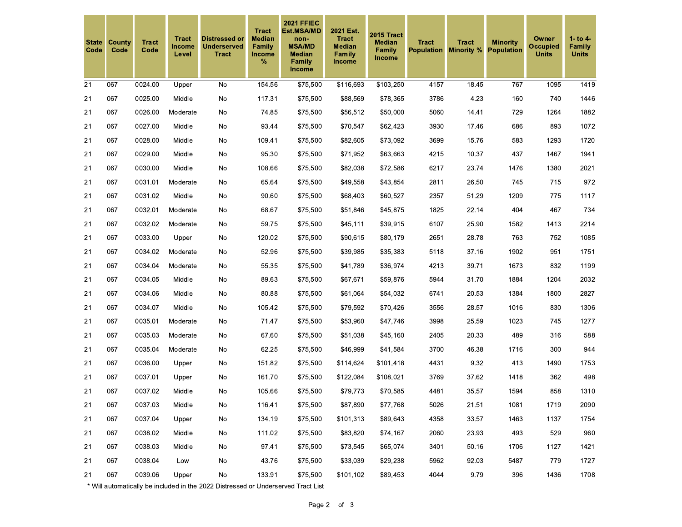| <b>State</b><br>Code | County<br>Code | <b>Tract</b><br>Code | <b>Tract</b><br>Income<br>Level | <b>Distressed or</b><br><b>Underserved</b><br><b>Tract</b> | <b>Tract</b><br><b>Median</b><br>Family<br><b>Income</b><br>% | <b>2021 FFIEC</b><br><b>Est.MSA/MD</b><br>non-<br><b>MSA/MD</b><br><b>Median</b><br><b>Family</b><br>Income | 2021 Est.<br><b>Tract</b><br><b>Median</b><br>Family<br><b>Income</b> | <b>2015 Tract</b><br><b>Median</b><br>Family<br><b>Income</b> | <b>Tract</b> | <b>Tract</b><br><b>Population Minority %</b> | <b>Minority</b><br><b>Population</b> | Owner<br><b>Occupied</b><br><b>Units</b> | $1 -$ to $4 -$<br>Family<br><b>Units</b> |
|----------------------|----------------|----------------------|---------------------------------|------------------------------------------------------------|---------------------------------------------------------------|-------------------------------------------------------------------------------------------------------------|-----------------------------------------------------------------------|---------------------------------------------------------------|--------------|----------------------------------------------|--------------------------------------|------------------------------------------|------------------------------------------|
| 21                   | 067            | 0024.00              | Upper                           | No                                                         | 154.56                                                        | \$75,500                                                                                                    | \$116,693                                                             | \$103,250                                                     | 4157         | 18.45                                        | 767                                  | 1095                                     | 1419                                     |
| 21                   | 067            | 0025.00              | Middle                          | No                                                         | 117.31                                                        | \$75,500                                                                                                    | \$88,569                                                              | \$78,365                                                      | 3786         | 4.23                                         | 160                                  | 740                                      | 1446                                     |
| 21                   | 067            | 0026.00              | Moderate                        | No                                                         | 74.85                                                         | \$75,500                                                                                                    | \$56,512                                                              | \$50,000                                                      | 5060         | 14.41                                        | 729                                  | 1264                                     | 1882                                     |
| 21                   | 067            | 0027.00              | Middle                          | No                                                         | 93.44                                                         | \$75,500                                                                                                    | \$70,547                                                              | \$62,423                                                      | 3930         | 17.46                                        | 686                                  | 893                                      | 1072                                     |
| 21                   | 067            | 0028.00              | Middle                          | No                                                         | 109.41                                                        | \$75,500                                                                                                    | \$82,605                                                              | \$73,092                                                      | 3699         | 15.76                                        | 583                                  | 1293                                     | 1720                                     |
| 21                   | 067            | 0029.00              | Middle                          | No                                                         | 95.30                                                         | \$75,500                                                                                                    | \$71,952                                                              | \$63,663                                                      | 4215         | 10.37                                        | 437                                  | 1467                                     | 1941                                     |
| 21                   | 067            | 0030.00              | Middle                          | No                                                         | 108.66                                                        | \$75,500                                                                                                    | \$82,038                                                              | \$72,586                                                      | 6217         | 23.74                                        | 1476                                 | 1380                                     | 2021                                     |
| 21                   | 067            | 0031.01              | Moderate                        | No                                                         | 65.64                                                         | \$75,500                                                                                                    | \$49,558                                                              | \$43,854                                                      | 2811         | 26.50                                        | 745                                  | 715                                      | 972                                      |
| 21                   | 067            | 0031.02              | Middle                          | No                                                         | 90.60                                                         | \$75,500                                                                                                    | \$68,403                                                              | \$60,527                                                      | 2357         | 51.29                                        | 1209                                 | 775                                      | 1117                                     |
| 21                   | 067            | 0032.01              | Moderate                        | No                                                         | 68.67                                                         | \$75,500                                                                                                    | \$51,846                                                              | \$45,875                                                      | 1825         | 22.14                                        | 404                                  | 467                                      | 734                                      |
| 21                   | 067            | 0032.02              | Moderate                        | No                                                         | 59.75                                                         | \$75,500                                                                                                    | \$45,111                                                              | \$39,915                                                      | 6107         | 25.90                                        | 1582                                 | 1413                                     | 2214                                     |
| 21                   | 067            | 0033.00              | Upper                           | No                                                         | 120.02                                                        | \$75,500                                                                                                    | \$90,615                                                              | \$80,179                                                      | 2651         | 28.78                                        | 763                                  | 752                                      | 1085                                     |
| 21                   | 067            | 0034.02              | Moderate                        | No                                                         | 52.96                                                         | \$75,500                                                                                                    | \$39,985                                                              | \$35,383                                                      | 5118         | 37.16                                        | 1902                                 | 951                                      | 1751                                     |
| 21                   | 067            | 0034.04              | Moderate                        | No                                                         | 55.35                                                         | \$75,500                                                                                                    | \$41,789                                                              | \$36,974                                                      | 4213         | 39.71                                        | 1673                                 | 832                                      | 1199                                     |
| 21                   | 067            | 0034.05              | Middle                          | No                                                         | 89.63                                                         | \$75,500                                                                                                    | \$67,671                                                              | \$59,876                                                      | 5944         | 31.70                                        | 1884                                 | 1204                                     | 2032                                     |
| 21                   | 067            | 0034.06              | Middle                          | No                                                         | 80.88                                                         | \$75,500                                                                                                    | \$61,064                                                              | \$54,032                                                      | 6741         | 20.53                                        | 1384                                 | 1800                                     | 2827                                     |
| 21                   | 067            | 0034.07              | Middle                          | No                                                         | 105.42                                                        | \$75,500                                                                                                    | \$79,592                                                              | \$70,426                                                      | 3556         | 28.57                                        | 1016                                 | 830                                      | 1306                                     |
| 21                   | 067            | 0035.01              | Moderate                        | No                                                         | 71.47                                                         | \$75,500                                                                                                    | \$53,960                                                              | \$47,746                                                      | 3998         | 25.59                                        | 1023                                 | 745                                      | 1277                                     |
| 21                   | 067            | 0035.03              | Moderate                        | No                                                         | 67.60                                                         | \$75,500                                                                                                    | \$51,038                                                              | \$45,160                                                      | 2405         | 20.33                                        | 489                                  | 316                                      | 588                                      |
| 21                   | 067            | 0035.04              | Moderate                        | No                                                         | 62.25                                                         | \$75,500                                                                                                    | \$46,999                                                              | \$41,584                                                      | 3700         | 46.38                                        | 1716                                 | 300                                      | 944                                      |
| 21                   | 067            | 0036.00              | Upper                           | No                                                         | 151.82                                                        | \$75,500                                                                                                    | \$114,624                                                             | \$101,418                                                     | 4431         | 9.32                                         | 413                                  | 1490                                     | 1753                                     |
| 21                   | 067            | 0037.01              | Upper                           | No                                                         | 161.70                                                        | \$75,500                                                                                                    | \$122,084                                                             | \$108,021                                                     | 3769         | 37.62                                        | 1418                                 | 362                                      | 498                                      |
| 21                   | 067            | 0037.02              | Middle                          | No                                                         | 105.66                                                        | \$75,500                                                                                                    | \$79,773                                                              | \$70,585                                                      | 4481         | 35.57                                        | 1594                                 | 858                                      | 1310                                     |
| 21                   | 067            | 0037.03              | Middle                          | No                                                         | 116.41                                                        | \$75,500                                                                                                    | \$87,890                                                              | \$77,768                                                      | 5026         | 21.51                                        | 1081                                 | 1719                                     | 2090                                     |
| 21                   | 067            | 0037.04              | Upper                           | No                                                         | 134.19                                                        | \$75,500                                                                                                    | \$101,313                                                             | \$89,643                                                      | 4358         | 33.57                                        | 1463                                 | 1137                                     | 1754                                     |
| 21                   | 067            | 0038.02              | Middle                          | No                                                         | 111.02                                                        | \$75,500                                                                                                    | \$83,820                                                              | \$74,167                                                      | 2060         | 23.93                                        | 493                                  | 529                                      | 960                                      |
| 21                   | 067            | 0038.03              | Middle                          | No                                                         | 97.41                                                         | \$75,500                                                                                                    | \$73,545                                                              | \$65,074                                                      | 3401         | 50.16                                        | 1706                                 | 1127                                     | 1421                                     |
| 21                   | 067            | 0038.04              | Low                             | No                                                         | 43.76                                                         | \$75,500                                                                                                    | \$33,039                                                              | \$29,238                                                      | 5962         | 92.03                                        | 5487                                 | 779                                      | 1727                                     |
| 21                   | 067            | 0039.06              | Upper                           | No                                                         | 133.91                                                        | \$75,500                                                                                                    | \$101,102                                                             | \$89,453                                                      | 4044         | 9.79                                         | 396                                  | 1436                                     | 1708                                     |